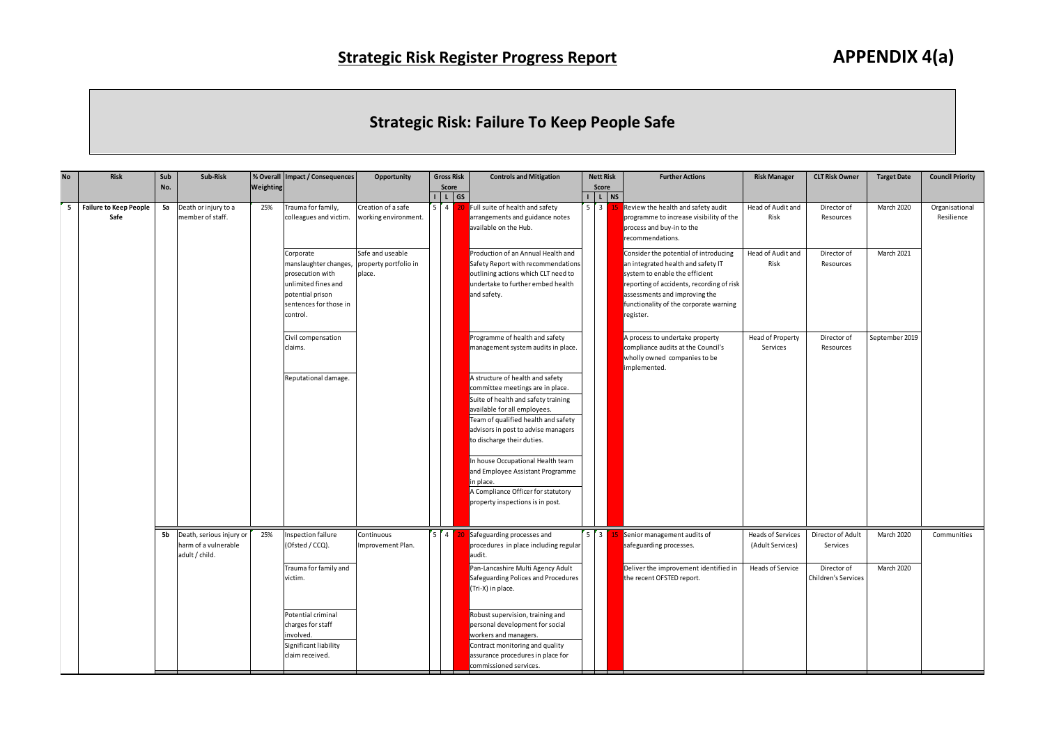## **Strategic Risk: Failure To Keep People Safe**

|           |                                       |            |                                                                    |           |                                                                                                                                                                               |                                                     |         |                                                  | <b>Strategic Risk: Failure To Keep People Safe</b>                                                                                                                                                                                                                                                                                                                                                                                                                                              |                                                 |                                                                                                                                                                                                                                                    |                                                                  |                                                                     |                          |                              |
|-----------|---------------------------------------|------------|--------------------------------------------------------------------|-----------|-------------------------------------------------------------------------------------------------------------------------------------------------------------------------------|-----------------------------------------------------|---------|--------------------------------------------------|-------------------------------------------------------------------------------------------------------------------------------------------------------------------------------------------------------------------------------------------------------------------------------------------------------------------------------------------------------------------------------------------------------------------------------------------------------------------------------------------------|-------------------------------------------------|----------------------------------------------------------------------------------------------------------------------------------------------------------------------------------------------------------------------------------------------------|------------------------------------------------------------------|---------------------------------------------------------------------|--------------------------|------------------------------|
| <b>No</b> | Risk                                  | Sub<br>No. | Sub-Risk                                                           | Weighting | % Overall Impact / Consequences                                                                                                                                               | Opportunity                                         |         | <b>Gross Risk</b><br>Score<br>$I \mid L \mid GS$ | <b>Controls and Mitigation</b>                                                                                                                                                                                                                                                                                                                                                                                                                                                                  | <b>Nett Risk</b><br>Score<br>$I \mid L \mid NS$ | <b>Further Actions</b>                                                                                                                                                                                                                             | <b>Risk Manager</b>                                              | <b>CLT Risk Owner</b>                                               | <b>Target Date</b>       | <b>Council Priority</b>      |
| 5         | <b>Failure to Keep People</b><br>Safe | 5a         | Death or injury to a<br>member of staff.                           | 25%       | Trauma for family,<br>colleagues and victim.                                                                                                                                  | Creation of a safe<br>vorking environment.          | $5 \t4$ |                                                  | Full suite of health and safety<br>arrangements and guidance notes<br>available on the Hub.                                                                                                                                                                                                                                                                                                                                                                                                     | $5 \mid 3 \mid$                                 | Review the health and safety audit<br>programme to increase visibility of the<br>process and buy-in to the<br>recommendations.                                                                                                                     | Head of Audit and<br>Risk                                        | Director of<br>Resources                                            | March 2020               | Organisational<br>Resilience |
|           |                                       |            |                                                                    |           | Corporate<br>manslaughter changes<br>prosecution with<br>unlimited fines and<br>potential prison<br>sentences for those in<br>control.                                        | Safe and useable<br>property portfolio in<br>place. |         |                                                  | Production of an Annual Health and<br>Safety Report with recommendation:<br>outlining actions which CLT need to<br>undertake to further embed health<br>and safety.                                                                                                                                                                                                                                                                                                                             |                                                 | Consider the potential of introducing<br>an integrated health and safety IT<br>system to enable the efficient<br>reporting of accidents, recording of risk<br>assessments and improving the<br>functionality of the corporate warning<br>register. | Head of Audit and<br>Risk                                        | Director of<br>Resources                                            | March 2021               |                              |
|           |                                       |            |                                                                    |           | Civil compensation<br>claims.<br>Reputational damage.                                                                                                                         |                                                     |         |                                                  | Programme of health and safety<br>management system audits in place.<br>A structure of health and safety<br>committee meetings are in place.<br>Suite of health and safety training<br>available for all employees.<br>Team of qualified health and safety<br>advisors in post to advise managers<br>to discharge their duties.<br>In house Occupational Health team<br>and Employee Assistant Programme<br>in place.<br>A Compliance Officer for statutory<br>property inspections is in post. |                                                 | A process to undertake property<br>compliance audits at the Council's<br>wholly owned companies to be<br>implemented.                                                                                                                              | Head of Property<br>Services                                     | Director of<br>Resources                                            | September 2019           |                              |
|           |                                       | 5b         | Death, serious injury or<br>harm of a vulnerable<br>adult / child. | 25%       | Inspection failure<br>(Ofsted / CCQ).<br>Trauma for family and<br>victim.<br>Potential criminal<br>charges for staff<br>involved.<br>Significant liability<br>claim received. | Continuous<br>Improvement Plan.                     | $5$ $4$ |                                                  | Safeguarding processes and<br>procedures in place including regular<br>audit.<br>Pan-Lancashire Multi Agency Adult<br>Safeguarding Polices and Procedures<br>(Tri-X) in place.<br>Robust supervision, training and<br>personal development for social<br>workers and managers.<br>Contract monitoring and quality<br>assurance procedures in place for<br>commissioned services.                                                                                                                | $5 \mid 3 \mid$                                 | Senior management audits of<br>safeguarding processes.<br>Deliver the improvement identified in<br>the recent OFSTED report.                                                                                                                       | <b>Heads of Services</b><br>(Adult Services)<br>Heads of Service | Director of Adult<br>Services<br>Director of<br>Children's Services | March 2020<br>March 2020 | Communities                  |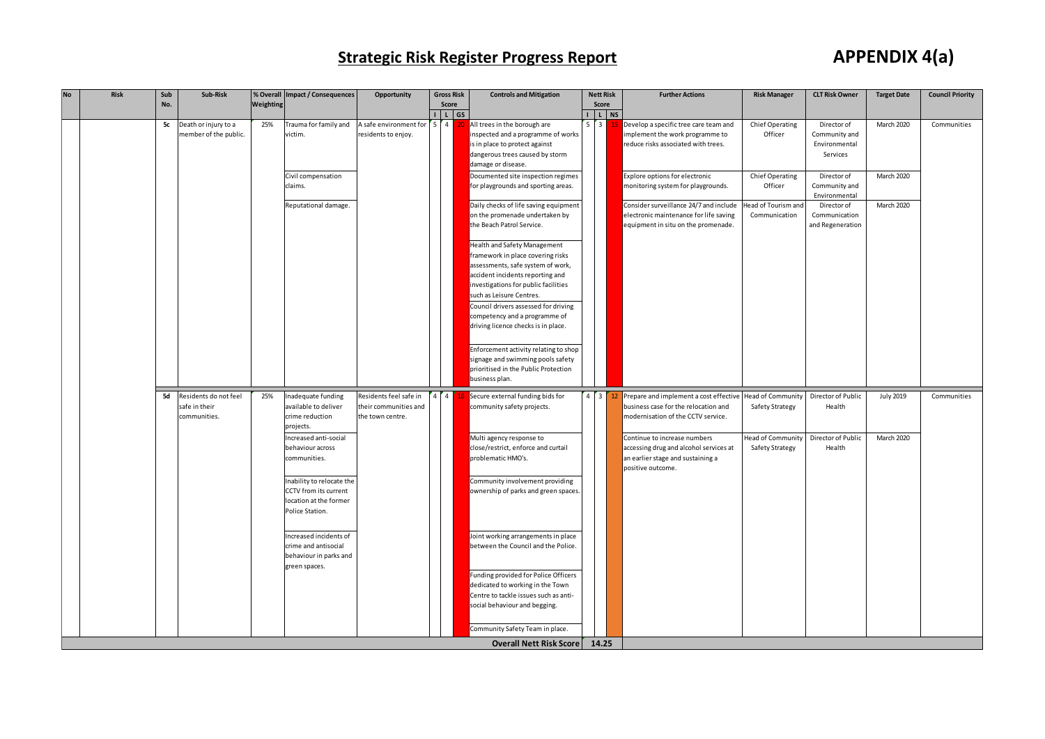## **Strategic Risk Register Progress Report APPENDIX 4(a)**

|           |      |            |                                                        |           |                                                                                                 |                                                                     |                            | <b>Strategic Risk Register Progress Report</b>                                                                                                                                     |                 |                           |                                                                                                                                  |                                                    |                                                           | <b>APPENDIX 4(a)</b> |                         |
|-----------|------|------------|--------------------------------------------------------|-----------|-------------------------------------------------------------------------------------------------|---------------------------------------------------------------------|----------------------------|------------------------------------------------------------------------------------------------------------------------------------------------------------------------------------|-----------------|---------------------------|----------------------------------------------------------------------------------------------------------------------------------|----------------------------------------------------|-----------------------------------------------------------|----------------------|-------------------------|
| <b>No</b> | Risk | Sub<br>No. | Sub-Risk                                               | Weighting | % Overall Impact / Consequences                                                                 | Opportunity                                                         | <b>Gross Risk</b><br>Score | <b>Controls and Mitigation</b>                                                                                                                                                     |                 | <b>Nett Risk</b><br>Score | <b>Further Actions</b>                                                                                                           | <b>Risk Manager</b>                                | <b>CLT Risk Owner</b>                                     | <b>Target Date</b>   | <b>Council Priority</b> |
|           |      | 5c         | Death or injury to a<br>member of the public.          | 25%       | Trauma for family and<br>victim.                                                                | A safe environment for<br>residents to enjoy.                       | I L GS<br>4<br>5.<br>20    | All trees in the borough are<br>inspected and a programme of works<br>is in place to protect against<br>dangerous trees caused by storm<br>damage or disease.                      | $5 \mid 3 \mid$ | $I$ $L$ $NS$              | Develop a specific tree care team and<br>implement the work programme to<br>reduce risks associated with trees.                  | Chief Operating<br>Officer                         | Director of<br>Community and<br>Environmental<br>Services | March 2020           | Communities             |
|           |      |            |                                                        |           | Civil compensation<br>claims.                                                                   |                                                                     |                            | Documented site inspection regimes<br>for playgrounds and sporting areas.                                                                                                          |                 |                           | Explore options for electronic<br>monitoring system for playgrounds.                                                             | Chief Operating<br>Officer                         | Director of<br>Community and<br>Environmental             | March 2020           |                         |
|           |      |            |                                                        |           | Reputational damage.                                                                            |                                                                     |                            | Daily checks of life saving equipment<br>on the promenade undertaken by<br>the Beach Patrol Service.                                                                               |                 |                           | Consider surveillance 24/7 and include<br>electronic maintenance for life saving<br>equipment in situ on the promenade.          | lead of Tourism and<br>Communication               | Director of<br>Communication<br>and Regeneration          | March 2020           |                         |
|           |      |            |                                                        |           |                                                                                                 |                                                                     |                            | Health and Safety Management<br>framework in place covering risks<br>assessments, safe system of work,<br>accident incidents reporting and<br>investigations for public facilities |                 |                           |                                                                                                                                  |                                                    |                                                           |                      |                         |
|           |      |            |                                                        |           |                                                                                                 |                                                                     |                            | such as Leisure Centres.<br>Council drivers assessed for driving<br>competency and a programme of<br>driving licence checks is in place.                                           |                 |                           |                                                                                                                                  |                                                    |                                                           |                      |                         |
|           |      |            |                                                        |           |                                                                                                 |                                                                     |                            | Enforcement activity relating to shop<br>signage and swimming pools safety<br>prioritised in the Public Protection<br>business plan.                                               |                 |                           |                                                                                                                                  |                                                    |                                                           |                      |                         |
|           |      | 5d         | Residents do not feel<br>safe in their<br>communities. | 25%       | Inadequate funding<br>available to deliver<br>crime reduction<br>projects.                      | Residents feel safe in<br>their communities and<br>the town centre. | $\overline{4}$             | Secure external funding bids for<br>community safety projects.                                                                                                                     |                 | $4 \mid 3 \mid 12 \mid$   | Prepare and implement a cost effective<br>business case for the relocation and<br>modernisation of the CCTV service.             | <b>Head of Community</b><br><b>Safety Strategy</b> | Director of Public<br>Health                              | <b>July 2019</b>     | Communities             |
|           |      |            |                                                        |           | Increased anti-social<br>behaviour across<br>communities.                                       |                                                                     |                            | Multi agency response to<br>close/restrict, enforce and curtail<br>problematic HMO's.                                                                                              |                 |                           | Continue to increase numbers<br>accessing drug and alcohol services at<br>an earlier stage and sustaining a<br>positive outcome. | <b>Head of Community</b><br><b>Safety Strategy</b> | Director of Public<br>Health                              | March 2020           |                         |
|           |      |            |                                                        |           | Inability to relocate the<br>CCTV from its current<br>location at the former<br>Police Station. |                                                                     |                            | Community involvement providing<br>ownership of parks and green spaces                                                                                                             |                 |                           |                                                                                                                                  |                                                    |                                                           |                      |                         |
|           |      |            |                                                        |           | Increased incidents of<br>crime and antisocial<br>behaviour in parks and<br>green spaces.       |                                                                     |                            | Joint working arrangements in place<br>between the Council and the Police.<br>Funding provided for Police Officers                                                                 |                 |                           |                                                                                                                                  |                                                    |                                                           |                      |                         |
|           |      |            |                                                        |           |                                                                                                 |                                                                     |                            | dedicated to working in the Town<br>Centre to tackle issues such as anti-<br>social behaviour and begging.                                                                         |                 |                           |                                                                                                                                  |                                                    |                                                           |                      |                         |
|           |      |            |                                                        |           |                                                                                                 |                                                                     |                            | Community Safety Team in place.<br><b>Overall Nett Risk Score</b>                                                                                                                  | 14.25           |                           |                                                                                                                                  |                                                    |                                                           |                      |                         |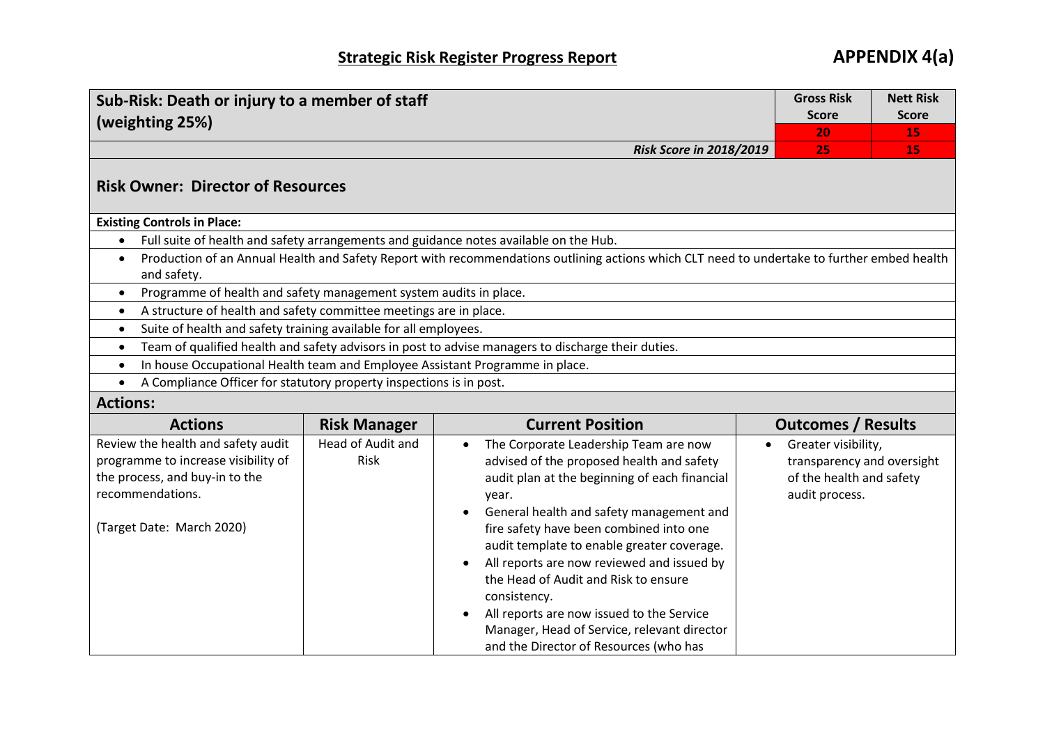| Sub-Risk: Death or injury to a member of staff                                                                                                             | <b>Gross Risk</b>         | <b>Nett Risk</b> |  |  |  |  |
|------------------------------------------------------------------------------------------------------------------------------------------------------------|---------------------------|------------------|--|--|--|--|
| (weighting 25%)                                                                                                                                            | <b>Score</b>              | <b>Score</b>     |  |  |  |  |
|                                                                                                                                                            | 20                        | 15               |  |  |  |  |
| <b>Risk Score in 2018/2019</b>                                                                                                                             | 25.                       | 15               |  |  |  |  |
| <b>Risk Owner: Director of Resources</b>                                                                                                                   |                           |                  |  |  |  |  |
| <b>Existing Controls in Place:</b>                                                                                                                         |                           |                  |  |  |  |  |
| Full suite of health and safety arrangements and guidance notes available on the Hub.                                                                      |                           |                  |  |  |  |  |
| Production of an Annual Health and Safety Report with recommendations outlining actions which CLT need to undertake to further embed health<br>and safety. |                           |                  |  |  |  |  |
| Programme of health and safety management system audits in place.                                                                                          |                           |                  |  |  |  |  |
| A structure of health and safety committee meetings are in place.                                                                                          |                           |                  |  |  |  |  |
| Suite of health and safety training available for all employees.                                                                                           |                           |                  |  |  |  |  |
| Team of qualified health and safety advisors in post to advise managers to discharge their duties.                                                         |                           |                  |  |  |  |  |
| In house Occupational Health team and Employee Assistant Programme in place.                                                                               |                           |                  |  |  |  |  |
| A Compliance Officer for statutory property inspections is in post.                                                                                        |                           |                  |  |  |  |  |
| <b>Actions:</b><br>$\cdot$<br>$  -$                                                                                                                        | $\mathbf{I}$ $\mathbf{I}$ |                  |  |  |  |  |

| <b>Actions</b>                                                                                              | <b>Risk Manager</b>       | <b>Current Position</b>                                                                                                                                                                                                                                                                                                              | <b>Outcomes / Results</b>                                                                  |
|-------------------------------------------------------------------------------------------------------------|---------------------------|--------------------------------------------------------------------------------------------------------------------------------------------------------------------------------------------------------------------------------------------------------------------------------------------------------------------------------------|--------------------------------------------------------------------------------------------|
| Review the health and safety audit<br>programme to increase visibility of<br>the process, and buy-in to the | Head of Audit and<br>Risk | The Corporate Leadership Team are now<br>$\bullet$<br>advised of the proposed health and safety<br>audit plan at the beginning of each financial                                                                                                                                                                                     | Greater visibility,<br>$\bullet$<br>transparency and oversight<br>of the health and safety |
| recommendations.<br>(Target Date: March 2020)                                                               |                           | year.<br>General health and safety management and<br>$\bullet$<br>fire safety have been combined into one<br>audit template to enable greater coverage.<br>All reports are now reviewed and issued by<br>$\bullet$<br>the Head of Audit and Risk to ensure<br>consistency.<br>All reports are now issued to the Service<br>$\bullet$ | audit process.                                                                             |
|                                                                                                             |                           | Manager, Head of Service, relevant director<br>and the Director of Resources (who has                                                                                                                                                                                                                                                |                                                                                            |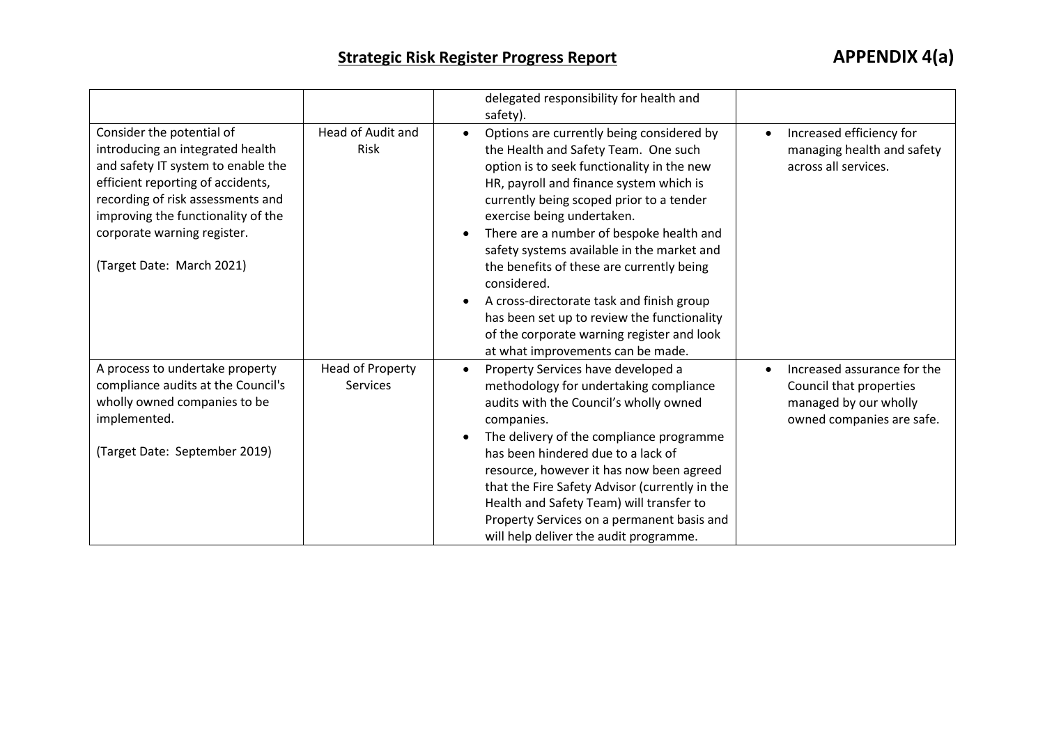|                                                                                                                                                                                                                                                                                 |                                            | delegated responsibility for health and<br>safety).                                                                                                                                                                                                                                                                                                                                                                                                                                                                                                                                                                              |                                                                                                              |
|---------------------------------------------------------------------------------------------------------------------------------------------------------------------------------------------------------------------------------------------------------------------------------|--------------------------------------------|----------------------------------------------------------------------------------------------------------------------------------------------------------------------------------------------------------------------------------------------------------------------------------------------------------------------------------------------------------------------------------------------------------------------------------------------------------------------------------------------------------------------------------------------------------------------------------------------------------------------------------|--------------------------------------------------------------------------------------------------------------|
| Consider the potential of<br>introducing an integrated health<br>and safety IT system to enable the<br>efficient reporting of accidents,<br>recording of risk assessments and<br>improving the functionality of the<br>corporate warning register.<br>(Target Date: March 2021) | Head of Audit and<br>Risk                  | Options are currently being considered by<br>$\bullet$<br>the Health and Safety Team. One such<br>option is to seek functionality in the new<br>HR, payroll and finance system which is<br>currently being scoped prior to a tender<br>exercise being undertaken.<br>There are a number of bespoke health and<br>$\bullet$<br>safety systems available in the market and<br>the benefits of these are currently being<br>considered.<br>A cross-directorate task and finish group<br>$\bullet$<br>has been set up to review the functionality<br>of the corporate warning register and look<br>at what improvements can be made. | Increased efficiency for<br>$\bullet$<br>managing health and safety<br>across all services.                  |
| A process to undertake property<br>compliance audits at the Council's<br>wholly owned companies to be<br>implemented.<br>(Target Date: September 2019)                                                                                                                          | <b>Head of Property</b><br><b>Services</b> | Property Services have developed a<br>$\bullet$<br>methodology for undertaking compliance<br>audits with the Council's wholly owned<br>companies.<br>The delivery of the compliance programme<br>$\bullet$<br>has been hindered due to a lack of<br>resource, however it has now been agreed<br>that the Fire Safety Advisor (currently in the<br>Health and Safety Team) will transfer to<br>Property Services on a permanent basis and<br>will help deliver the audit programme.                                                                                                                                               | Increased assurance for the<br>Council that properties<br>managed by our wholly<br>owned companies are safe. |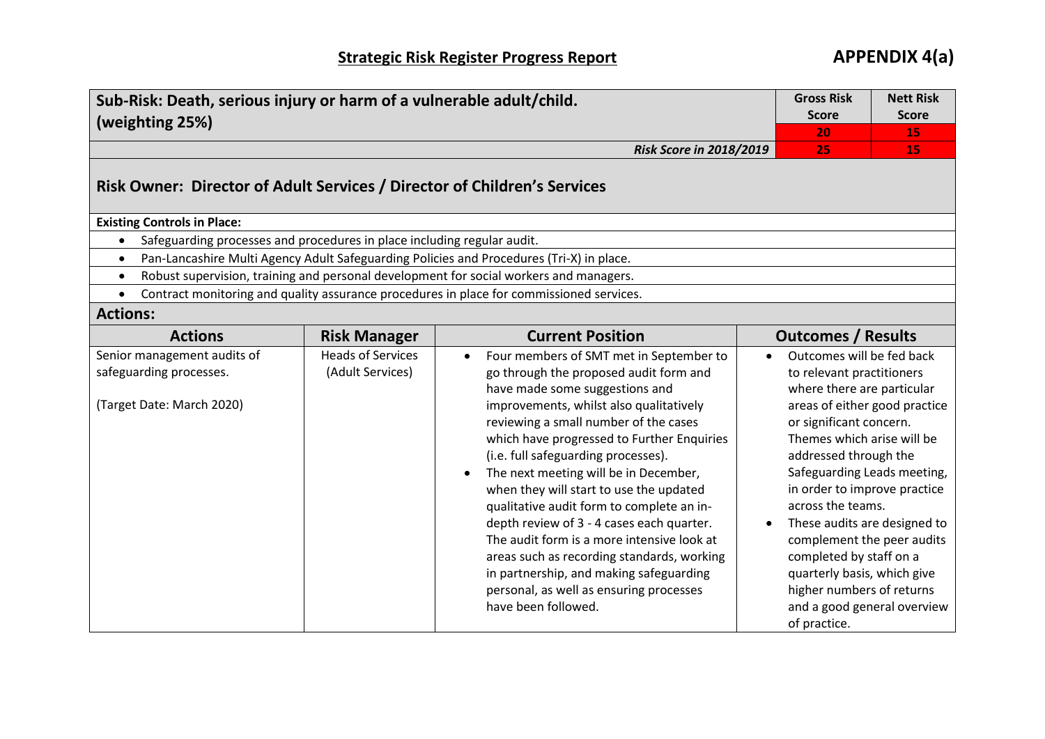| Sub-Risk: Death, serious injury or harm of a vulnerable adult/child.<br>(weighting 25%) | <b>Gross Risk</b><br><b>Score</b><br>20      | <b>Nett Risk</b><br><b>Score</b><br>15                                                                                                                                                                                                                                                                                                                                                                                                                                                                                                                                                                                                                                                                        |  |                                                                                                                                                                                                                                                                                                                                                                                                                                                                                                 |    |
|-----------------------------------------------------------------------------------------|----------------------------------------------|---------------------------------------------------------------------------------------------------------------------------------------------------------------------------------------------------------------------------------------------------------------------------------------------------------------------------------------------------------------------------------------------------------------------------------------------------------------------------------------------------------------------------------------------------------------------------------------------------------------------------------------------------------------------------------------------------------------|--|-------------------------------------------------------------------------------------------------------------------------------------------------------------------------------------------------------------------------------------------------------------------------------------------------------------------------------------------------------------------------------------------------------------------------------------------------------------------------------------------------|----|
|                                                                                         |                                              | <b>Risk Score in 2018/2019</b>                                                                                                                                                                                                                                                                                                                                                                                                                                                                                                                                                                                                                                                                                |  | 25                                                                                                                                                                                                                                                                                                                                                                                                                                                                                              | 15 |
| Risk Owner: Director of Adult Services / Director of Children's Services                |                                              |                                                                                                                                                                                                                                                                                                                                                                                                                                                                                                                                                                                                                                                                                                               |  |                                                                                                                                                                                                                                                                                                                                                                                                                                                                                                 |    |
| <b>Existing Controls in Place:</b>                                                      |                                              |                                                                                                                                                                                                                                                                                                                                                                                                                                                                                                                                                                                                                                                                                                               |  |                                                                                                                                                                                                                                                                                                                                                                                                                                                                                                 |    |
| Safeguarding processes and procedures in place including regular audit.                 |                                              |                                                                                                                                                                                                                                                                                                                                                                                                                                                                                                                                                                                                                                                                                                               |  |                                                                                                                                                                                                                                                                                                                                                                                                                                                                                                 |    |
| $\bullet$                                                                               |                                              | Pan-Lancashire Multi Agency Adult Safeguarding Policies and Procedures (Tri-X) in place.                                                                                                                                                                                                                                                                                                                                                                                                                                                                                                                                                                                                                      |  |                                                                                                                                                                                                                                                                                                                                                                                                                                                                                                 |    |
| $\bullet$                                                                               |                                              | Robust supervision, training and personal development for social workers and managers.                                                                                                                                                                                                                                                                                                                                                                                                                                                                                                                                                                                                                        |  |                                                                                                                                                                                                                                                                                                                                                                                                                                                                                                 |    |
|                                                                                         |                                              | Contract monitoring and quality assurance procedures in place for commissioned services.                                                                                                                                                                                                                                                                                                                                                                                                                                                                                                                                                                                                                      |  |                                                                                                                                                                                                                                                                                                                                                                                                                                                                                                 |    |
| <b>Actions:</b>                                                                         |                                              |                                                                                                                                                                                                                                                                                                                                                                                                                                                                                                                                                                                                                                                                                                               |  |                                                                                                                                                                                                                                                                                                                                                                                                                                                                                                 |    |
| <b>Actions</b>                                                                          | <b>Risk Manager</b>                          | <b>Current Position</b>                                                                                                                                                                                                                                                                                                                                                                                                                                                                                                                                                                                                                                                                                       |  | <b>Outcomes / Results</b>                                                                                                                                                                                                                                                                                                                                                                                                                                                                       |    |
| Senior management audits of<br>safeguarding processes.<br>(Target Date: March 2020)     | <b>Heads of Services</b><br>(Adult Services) | Four members of SMT met in September to<br>$\bullet$<br>go through the proposed audit form and<br>have made some suggestions and<br>improvements, whilst also qualitatively<br>reviewing a small number of the cases<br>which have progressed to Further Enquiries<br>(i.e. full safeguarding processes).<br>The next meeting will be in December,<br>$\bullet$<br>when they will start to use the updated<br>qualitative audit form to complete an in-<br>depth review of 3 - 4 cases each quarter.<br>The audit form is a more intensive look at<br>areas such as recording standards, working<br>in partnership, and making safeguarding<br>personal, as well as ensuring processes<br>have been followed. |  | Outcomes will be fed back<br>to relevant practitioners<br>where there are particular<br>areas of either good practice<br>or significant concern.<br>Themes which arise will be<br>addressed through the<br>Safeguarding Leads meeting,<br>in order to improve practice<br>across the teams.<br>These audits are designed to<br>complement the peer audits<br>completed by staff on a<br>quarterly basis, which give<br>higher numbers of returns<br>and a good general overview<br>of practice. |    |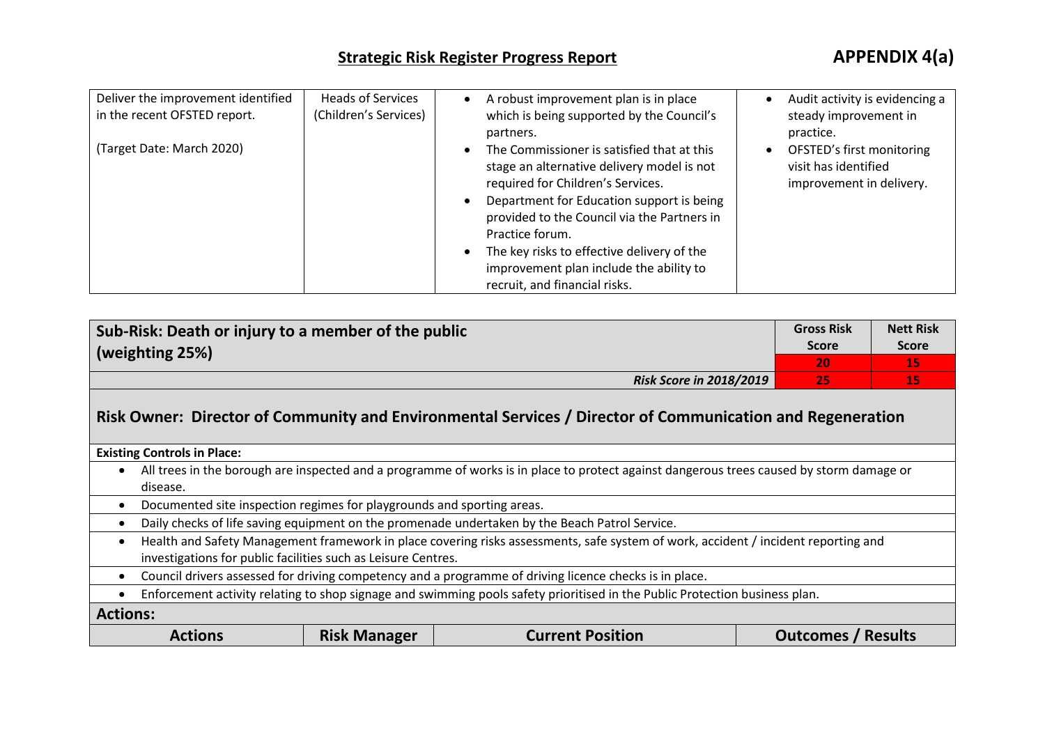| Deliver the improvement identified<br>in the recent OFSTED report. | <b>Heads of Services</b><br>(Children's Services) | $\bullet$                           | A robust improvement plan is in place<br>which is being supported by the Council's<br>partners.                                                                                                                                                                                                                                                                        | Audit activity is evidencing a<br>steady improvement in<br>practice.          |
|--------------------------------------------------------------------|---------------------------------------------------|-------------------------------------|------------------------------------------------------------------------------------------------------------------------------------------------------------------------------------------------------------------------------------------------------------------------------------------------------------------------------------------------------------------------|-------------------------------------------------------------------------------|
| (Target Date: March 2020)                                          |                                                   | $\bullet$<br>$\bullet$<br>$\bullet$ | The Commissioner is satisfied that at this<br>stage an alternative delivery model is not<br>required for Children's Services.<br>Department for Education support is being<br>provided to the Council via the Partners in<br>Practice forum.<br>The key risks to effective delivery of the<br>improvement plan include the ability to<br>recruit, and financial risks. | OFSTED's first monitoring<br>visit has identified<br>improvement in delivery. |

| Sub-Risk: Death or injury to a member of the public<br>$\vert$ (weighting 25%) | <b>Gross Risk</b><br><b>Score</b> | <b>Nett Risk</b><br><b>Score</b> |
|--------------------------------------------------------------------------------|-----------------------------------|----------------------------------|
|                                                                                | י 20                              | 1 C                              |
| <b>Risk Score in 2018/2019</b>                                                 | 25                                | 15,                              |

## **Risk Owner: Director of Community and Environmental Services / Director of Communication and Regeneration**

**Existing Controls in Place:**

- All trees in the borough are inspected and a programme of works is in place to protect against dangerous trees caused by storm damage or disease.
- Documented site inspection regimes for playgrounds and sporting areas.
- Daily checks of life saving equipment on the promenade undertaken by the Beach Patrol Service.
- Health and Safety Management framework in place covering risks assessments, safe system of work, accident / incident reporting and investigations for public facilities such as Leisure Centres.
- Council drivers assessed for driving competency and a programme of driving licence checks is in place.
- Enforcement activity relating to shop signage and swimming pools safety prioritised in the Public Protection business plan.

**Actions:**

| <b>Actions</b> | <b>Risk Manager</b> | <b>Current Position</b> | Outcomes / Results |
|----------------|---------------------|-------------------------|--------------------|
|----------------|---------------------|-------------------------|--------------------|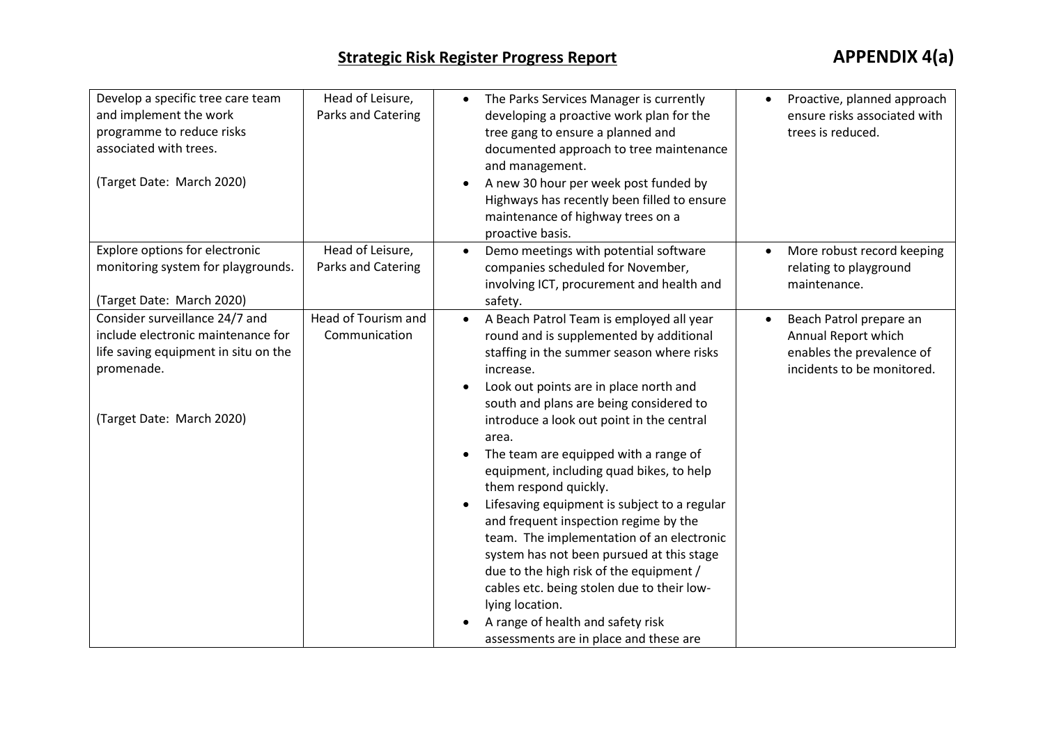| Develop a specific tree care team    | Head of Leisure,    | $\bullet$ | The Parks Services Manager is currently      |           | Proactive, planned approach  |
|--------------------------------------|---------------------|-----------|----------------------------------------------|-----------|------------------------------|
| and implement the work               | Parks and Catering  |           | developing a proactive work plan for the     |           | ensure risks associated with |
| programme to reduce risks            |                     |           | tree gang to ensure a planned and            |           | trees is reduced.            |
| associated with trees.               |                     |           | documented approach to tree maintenance      |           |                              |
|                                      |                     |           | and management.                              |           |                              |
| (Target Date: March 2020)            |                     |           | A new 30 hour per week post funded by        |           |                              |
|                                      |                     |           | Highways has recently been filled to ensure  |           |                              |
|                                      |                     |           | maintenance of highway trees on a            |           |                              |
|                                      |                     |           | proactive basis.                             |           |                              |
| Explore options for electronic       | Head of Leisure,    | $\bullet$ | Demo meetings with potential software        |           | More robust record keeping   |
| monitoring system for playgrounds.   | Parks and Catering  |           | companies scheduled for November,            |           | relating to playground       |
|                                      |                     |           | involving ICT, procurement and health and    |           | maintenance.                 |
| (Target Date: March 2020)            |                     |           | safety.                                      |           |                              |
| Consider surveillance 24/7 and       | Head of Tourism and | $\bullet$ | A Beach Patrol Team is employed all year     | $\bullet$ | Beach Patrol prepare an      |
| include electronic maintenance for   | Communication       |           | round and is supplemented by additional      |           | Annual Report which          |
| life saving equipment in situ on the |                     |           | staffing in the summer season where risks    |           | enables the prevalence of    |
| promenade.                           |                     |           | increase.                                    |           | incidents to be monitored.   |
|                                      |                     | $\bullet$ | Look out points are in place north and       |           |                              |
|                                      |                     |           | south and plans are being considered to      |           |                              |
| (Target Date: March 2020)            |                     |           | introduce a look out point in the central    |           |                              |
|                                      |                     |           | area.                                        |           |                              |
|                                      |                     |           | The team are equipped with a range of        |           |                              |
|                                      |                     |           | equipment, including quad bikes, to help     |           |                              |
|                                      |                     |           | them respond quickly.                        |           |                              |
|                                      |                     | $\bullet$ | Lifesaving equipment is subject to a regular |           |                              |
|                                      |                     |           | and frequent inspection regime by the        |           |                              |
|                                      |                     |           | team. The implementation of an electronic    |           |                              |
|                                      |                     |           | system has not been pursued at this stage    |           |                              |
|                                      |                     |           | due to the high risk of the equipment /      |           |                              |
|                                      |                     |           | cables etc. being stolen due to their low-   |           |                              |
|                                      |                     |           | lying location.                              |           |                              |
|                                      |                     |           | A range of health and safety risk            |           |                              |
|                                      |                     |           | assessments are in place and these are       |           |                              |